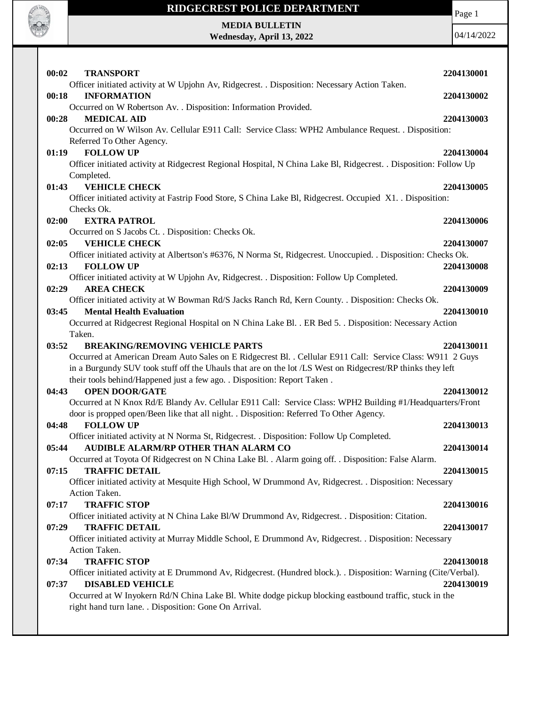

Page 1

**MEDIA BULLETIN Wednesday, April 13, 2022**

| 00:02<br><b>TRANSPORT</b>                                                                                                                      | 2204130001 |
|------------------------------------------------------------------------------------------------------------------------------------------------|------------|
| Officer initiated activity at W Upjohn Av, Ridgecrest. . Disposition: Necessary Action Taken.<br>00:18<br><b>INFORMATION</b>                   | 2204130002 |
| Occurred on W Robertson Av. . Disposition: Information Provided.                                                                               |            |
| 00:28<br><b>MEDICAL AID</b>                                                                                                                    | 2204130003 |
| Occurred on W Wilson Av. Cellular E911 Call: Service Class: WPH2 Ambulance Request. . Disposition:                                             |            |
| Referred To Other Agency.                                                                                                                      |            |
| <b>FOLLOW UP</b><br>01:19                                                                                                                      | 2204130004 |
| Officer initiated activity at Ridgecrest Regional Hospital, N China Lake Bl, Ridgecrest. . Disposition: Follow Up<br>Completed.                |            |
| <b>VEHICLE CHECK</b><br>01:43                                                                                                                  | 2204130005 |
| Officer initiated activity at Fastrip Food Store, S China Lake Bl, Ridgecrest. Occupied X1. . Disposition:                                     |            |
| Checks Ok.                                                                                                                                     |            |
| 02:00<br><b>EXTRA PATROL</b>                                                                                                                   | 2204130006 |
| Occurred on S Jacobs Ct. . Disposition: Checks Ok.                                                                                             |            |
| 02:05<br><b>VEHICLE CHECK</b>                                                                                                                  | 2204130007 |
| Officer initiated activity at Albertson's #6376, N Norma St, Ridgecrest. Unoccupied. . Disposition: Checks Ok.                                 |            |
| 02:13<br><b>FOLLOW UP</b>                                                                                                                      | 2204130008 |
| Officer initiated activity at W Upjohn Av, Ridgecrest. . Disposition: Follow Up Completed.                                                     |            |
| <b>AREA CHECK</b><br>02:29                                                                                                                     | 2204130009 |
| Officer initiated activity at W Bowman Rd/S Jacks Ranch Rd, Kern County. . Disposition: Checks Ok.<br>03:45<br><b>Mental Health Evaluation</b> | 2204130010 |
| Occurred at Ridgecrest Regional Hospital on N China Lake Bl. . ER Bed 5. . Disposition: Necessary Action                                       |            |
| Taken.                                                                                                                                         |            |
| 03:52<br><b>BREAKING/REMOVING VEHICLE PARTS</b>                                                                                                | 2204130011 |
| Occurred at American Dream Auto Sales on E Ridgecrest Bl. . Cellular E911 Call: Service Class: W911 2 Guys                                     |            |
| in a Burgundy SUV took stuff off the Uhauls that are on the lot /LS West on Ridgecrest/RP thinks they left                                     |            |
| their tools behind/Happened just a few ago. . Disposition: Report Taken.                                                                       |            |
| <b>OPEN DOOR/GATE</b><br>04:43                                                                                                                 | 2204130012 |
| Occurred at N Knox Rd/E Blandy Av. Cellular E911 Call: Service Class: WPH2 Building #1/Headquarters/Front                                      |            |
| door is propped open/Been like that all night. . Disposition: Referred To Other Agency.                                                        |            |
| 04:48<br><b>FOLLOW UP</b>                                                                                                                      | 2204130013 |
| Officer initiated activity at N Norma St, Ridgecrest. . Disposition: Follow Up Completed.                                                      |            |
| <b>AUDIBLE ALARM/RP OTHER THAN ALARM CO</b><br>05:44                                                                                           | 2204130014 |
| Occurred at Toyota Of Ridgecrest on N China Lake Bl. . Alarm going off. . Disposition: False Alarm.                                            |            |
| <b>TRAFFIC DETAIL</b><br>07:15                                                                                                                 | 2204130015 |
| Officer initiated activity at Mesquite High School, W Drummond Av, Ridgecrest. . Disposition: Necessary                                        |            |
| Action Taken.                                                                                                                                  |            |
| <b>TRAFFIC STOP</b><br>07:17                                                                                                                   | 2204130016 |
| Officer initiated activity at N China Lake Bl/W Drummond Av, Ridgecrest. . Disposition: Citation.                                              |            |
| 07:29<br><b>TRAFFIC DETAIL</b>                                                                                                                 | 2204130017 |
| Officer initiated activity at Murray Middle School, E Drummond Av, Ridgecrest. . Disposition: Necessary<br>Action Taken.                       |            |
| <b>TRAFFIC STOP</b><br>07:34                                                                                                                   | 2204130018 |
| Officer initiated activity at E Drummond Av, Ridgecrest. (Hundred block.). . Disposition: Warning (Cite/Verbal).                               |            |
| <b>DISABLED VEHICLE</b><br>07:37                                                                                                               | 2204130019 |
| Occurred at W Inyokern Rd/N China Lake Bl. White dodge pickup blocking eastbound traffic, stuck in the                                         |            |
| right hand turn lane. . Disposition: Gone On Arrival.                                                                                          |            |
|                                                                                                                                                |            |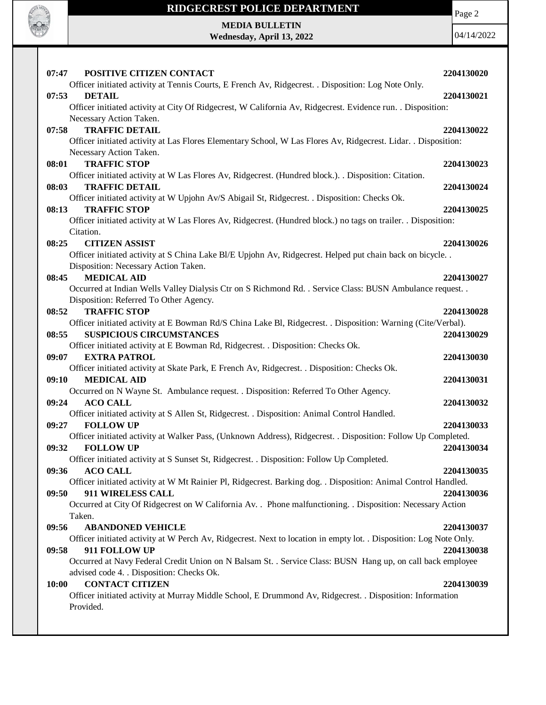

Page 2

## **MEDIA BULLETIN Wednesday, April 13, 2022**

| 07:47<br>POSITIVE CITIZEN CONTACT                                                                                                                       | 2204130020 |
|---------------------------------------------------------------------------------------------------------------------------------------------------------|------------|
| Officer initiated activity at Tennis Courts, E French Av, Ridgecrest. . Disposition: Log Note Only.                                                     |            |
| 07:53<br><b>DETAIL</b>                                                                                                                                  | 2204130021 |
| Officer initiated activity at City Of Ridgecrest, W California Av, Ridgecrest. Evidence run. . Disposition:                                             |            |
| Necessary Action Taken.                                                                                                                                 |            |
| <b>TRAFFIC DETAIL</b><br>07:58                                                                                                                          | 2204130022 |
| Officer initiated activity at Las Flores Elementary School, W Las Flores Av, Ridgecrest. Lidar. . Disposition:                                          |            |
| Necessary Action Taken.                                                                                                                                 |            |
| 08:01<br><b>TRAFFIC STOP</b>                                                                                                                            | 2204130023 |
| Officer initiated activity at W Las Flores Av, Ridgecrest. (Hundred block.). . Disposition: Citation.                                                   |            |
| <b>TRAFFIC DETAIL</b><br>08:03                                                                                                                          | 2204130024 |
| Officer initiated activity at W Upjohn Av/S Abigail St, Ridgecrest. . Disposition: Checks Ok.                                                           |            |
| <b>TRAFFIC STOP</b><br>08:13                                                                                                                            | 2204130025 |
| Officer initiated activity at W Las Flores Av, Ridgecrest. (Hundred block.) no tags on trailer. . Disposition:                                          |            |
| Citation.                                                                                                                                               |            |
| <b>CITIZEN ASSIST</b><br>08:25                                                                                                                          | 2204130026 |
| Officer initiated activity at S China Lake Bl/E Upjohn Av, Ridgecrest. Helped put chain back on bicycle. .                                              |            |
| Disposition: Necessary Action Taken.                                                                                                                    |            |
| <b>MEDICAL AID</b><br>08:45                                                                                                                             | 2204130027 |
| Occurred at Indian Wells Valley Dialysis Ctr on S Richmond Rd. . Service Class: BUSN Ambulance request. .                                               |            |
| Disposition: Referred To Other Agency.                                                                                                                  |            |
| <b>TRAFFIC STOP</b><br>08:52                                                                                                                            | 2204130028 |
| Officer initiated activity at E Bowman Rd/S China Lake Bl, Ridgecrest. . Disposition: Warning (Cite/Verbal).                                            |            |
| 08:55<br><b>SUSPICIOUS CIRCUMSTANCES</b>                                                                                                                | 2204130029 |
| Officer initiated activity at E Bowman Rd, Ridgecrest. . Disposition: Checks Ok.                                                                        |            |
| <b>EXTRA PATROL</b><br>09:07                                                                                                                            | 2204130030 |
| Officer initiated activity at Skate Park, E French Av, Ridgecrest. . Disposition: Checks Ok.                                                            |            |
| <b>MEDICAL AID</b><br>09:10                                                                                                                             | 2204130031 |
| Occurred on N Wayne St. Ambulance request. . Disposition: Referred To Other Agency.                                                                     |            |
| <b>ACO CALL</b><br>09:24                                                                                                                                | 2204130032 |
| Officer initiated activity at S Allen St, Ridgecrest. . Disposition: Animal Control Handled.                                                            |            |
| 09:27<br><b>FOLLOW UP</b>                                                                                                                               | 2204130033 |
| Officer initiated activity at Walker Pass, (Unknown Address), Ridgecrest. . Disposition: Follow Up Completed.                                           |            |
| 09:32<br><b>FOLLOW UP</b>                                                                                                                               | 2204130034 |
| Officer initiated activity at S Sunset St, Ridgecrest. . Disposition: Follow Up Completed.                                                              |            |
| 09:36<br><b>ACO CALL</b>                                                                                                                                | 2204130035 |
| Officer initiated activity at W Mt Rainier Pl, Ridgecrest. Barking dog. . Disposition: Animal Control Handled.                                          |            |
| 911 WIRELESS CALL<br>09:50                                                                                                                              | 2204130036 |
| Occurred at City Of Ridgecrest on W California Av. . Phone malfunctioning. . Disposition: Necessary Action                                              |            |
| Taken.                                                                                                                                                  |            |
| 09:56<br><b>ABANDONED VEHICLE</b>                                                                                                                       | 2204130037 |
| Officer initiated activity at W Perch Av, Ridgecrest. Next to location in empty lot. . Disposition: Log Note Only.                                      |            |
| 911 FOLLOW UP<br>09:58                                                                                                                                  | 2204130038 |
| Occurred at Navy Federal Credit Union on N Balsam St. . Service Class: BUSN Hang up, on call back employee<br>advised code 4. . Disposition: Checks Ok. |            |
| <b>CONTACT CITIZEN</b><br>10:00                                                                                                                         | 2204130039 |
| Officer initiated activity at Murray Middle School, E Drummond Av, Ridgecrest. . Disposition: Information                                               |            |
| Provided.                                                                                                                                               |            |
|                                                                                                                                                         |            |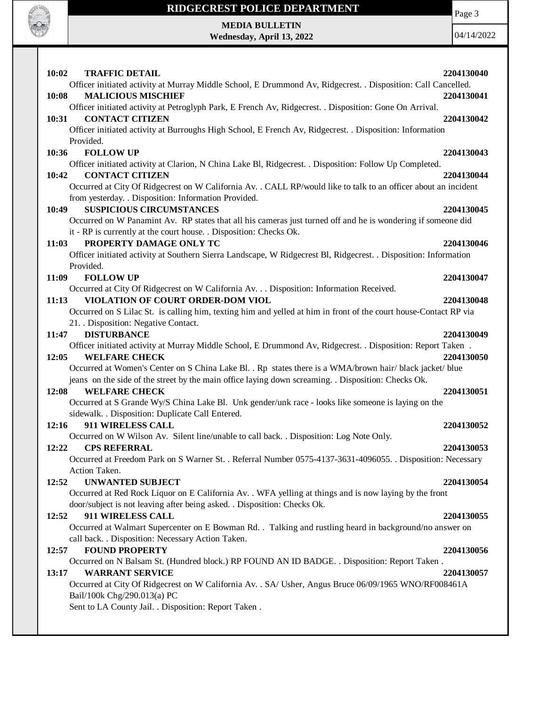

# **RIDGECREST POLICE DEPARTMENT MEDIA BULLETIN**

**Wednesday, April 13, 2022**

Page 3

| 10:02<br><b>TRAFFIC DETAIL</b>                                                                                   | 2204130040 |
|------------------------------------------------------------------------------------------------------------------|------------|
| Officer initiated activity at Murray Middle School, E Drummond Av, Ridgecrest. . Disposition: Call Cancelled.    |            |
| <b>MALICIOUS MISCHIEF</b><br>10:08                                                                               | 2204130041 |
| Officer initiated activity at Petroglyph Park, E French Av, Ridgecrest. . Disposition: Gone On Arrival.          |            |
| <b>CONTACT CITIZEN</b><br>10:31                                                                                  | 2204130042 |
| Officer initiated activity at Burroughs High School, E French Av, Ridgecrest. . Disposition: Information         |            |
| Provided.                                                                                                        |            |
| <b>FOLLOW UP</b><br>10:36                                                                                        | 2204130043 |
| Officer initiated activity at Clarion, N China Lake Bl, Ridgecrest. . Disposition: Follow Up Completed.          |            |
| <b>CONTACT CITIZEN</b><br>10:42                                                                                  | 2204130044 |
| Occurred at City Of Ridgecrest on W California Av. . CALL RP/would like to talk to an officer about an incident  |            |
| from yesterday. . Disposition: Information Provided.                                                             |            |
| <b>SUSPICIOUS CIRCUMSTANCES</b><br>10:49                                                                         | 2204130045 |
| Occurred on W Panamint Av. RP states that all his cameras just turned off and he is wondering if someone did     |            |
| it - RP is currently at the court house. . Disposition: Checks Ok.<br>PROPERTY DAMAGE ONLY TC<br>11:03           | 2204130046 |
| Officer initiated activity at Southern Sierra Landscape, W Ridgecrest Bl, Ridgecrest. . Disposition: Information |            |
| Provided.                                                                                                        |            |
| 11:09<br><b>FOLLOW UP</b>                                                                                        | 2204130047 |
| Occurred at City Of Ridgecrest on W California Av. Disposition: Information Received.                            |            |
| VIOLATION OF COURT ORDER-DOM VIOL<br>11:13                                                                       | 2204130048 |
| Occurred on S Lilac St. is calling him, texting him and yelled at him in front of the court house-Contact RP via |            |
| 21. Disposition: Negative Contact.                                                                               |            |
| <b>DISTURBANCE</b><br>11:47                                                                                      | 2204130049 |
| Officer initiated activity at Murray Middle School, E Drummond Av, Ridgecrest. . Disposition: Report Taken.      |            |
| 12:05<br><b>WELFARE CHECK</b>                                                                                    | 2204130050 |
| Occurred at Women's Center on S China Lake Bl. . Rp states there is a WMA/brown hair/ black jacket/ blue         |            |
| jeans on the side of the street by the main office laying down screaming. Disposition: Checks Ok.                |            |
| 12:08<br><b>WELFARE CHECK</b>                                                                                    | 2204130051 |
| Occurred at S Grande Wy/S China Lake Bl. Unk gender/unk race - looks like someone is laying on the               |            |
| sidewalk. . Disposition: Duplicate Call Entered.                                                                 |            |
| 911 WIRELESS CALL<br>12:16                                                                                       | 2204130052 |
| Occurred on W Wilson Av. Silent line/unable to call back. . Disposition: Log Note Only.                          |            |
| 12:22<br><b>CPS REFERRAL</b>                                                                                     | 2204130053 |
| Occurred at Freedom Park on S Warner St. . Referral Number 0575-4137-3631-4096055. . Disposition: Necessary      |            |
| Action Taken.                                                                                                    |            |
| <b>UNWANTED SUBJECT</b><br>12:52                                                                                 | 2204130054 |
| Occurred at Red Rock Liquor on E California Av. . WFA yelling at things and is now laying by the front           |            |
| door/subject is not leaving after being asked. . Disposition: Checks Ok.                                         |            |
| 911 WIRELESS CALL<br>12:52                                                                                       | 2204130055 |
| Occurred at Walmart Supercenter on E Bowman Rd. . Talking and rustling heard in background/no answer on          |            |
| call back. . Disposition: Necessary Action Taken.                                                                |            |
| <b>FOUND PROPERTY</b><br>12:57                                                                                   | 2204130056 |
| Occurred on N Balsam St. (Hundred block.) RP FOUND AN ID BADGE. . Disposition: Report Taken.                     |            |
| 13:17<br><b>WARRANT SERVICE</b>                                                                                  | 2204130057 |
| Occurred at City Of Ridgecrest on W California Av. . SA/ Usher, Angus Bruce 06/09/1965 WNO/RF008461A             |            |
| Bail/100k Chg/290.013(a) PC                                                                                      |            |
| Sent to LA County Jail. . Disposition: Report Taken.                                                             |            |
|                                                                                                                  |            |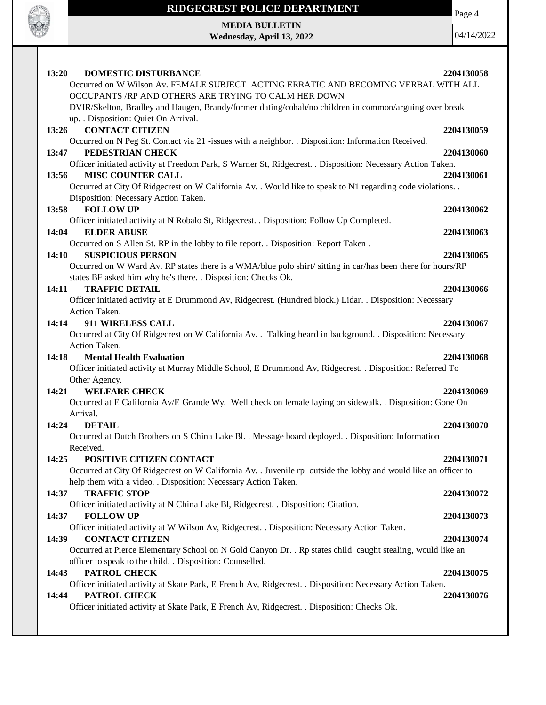

Page 4

**MEDIA BULLETIN Wednesday, April 13, 2022**

| 13:20<br><b>DOMESTIC DISTURBANCE</b><br>Occurred on W Wilson Av. FEMALE SUBJECT ACTING ERRATIC AND BECOMING VERBAL WITH ALL                                                  | 2204130058 |
|------------------------------------------------------------------------------------------------------------------------------------------------------------------------------|------------|
| OCCUPANTS /RP AND OTHERS ARE TRYING TO CALM HER DOWN                                                                                                                         |            |
| DVIR/Skelton, Bradley and Haugen, Brandy/former dating/cohab/no children in common/arguing over break                                                                        |            |
| up. . Disposition: Quiet On Arrival.                                                                                                                                         |            |
| <b>CONTACT CITIZEN</b><br>13:26                                                                                                                                              | 2204130059 |
| Occurred on N Peg St. Contact via 21 -issues with a neighbor. . Disposition: Information Received.                                                                           |            |
| PEDESTRIAN CHECK<br>13:47                                                                                                                                                    | 2204130060 |
| Officer initiated activity at Freedom Park, S Warner St, Ridgecrest. . Disposition: Necessary Action Taken.                                                                  |            |
| <b>MISC COUNTER CALL</b><br>13:56                                                                                                                                            | 2204130061 |
| Occurred at City Of Ridgecrest on W California Av. . Would like to speak to N1 regarding code violations. .                                                                  |            |
| Disposition: Necessary Action Taken.                                                                                                                                         |            |
| <b>FOLLOW UP</b><br>13:58                                                                                                                                                    | 2204130062 |
| Officer initiated activity at N Robalo St, Ridgecrest. . Disposition: Follow Up Completed.                                                                                   |            |
| 14:04<br><b>ELDER ABUSE</b>                                                                                                                                                  | 2204130063 |
| Occurred on S Allen St. RP in the lobby to file report. . Disposition: Report Taken.                                                                                         |            |
| <b>SUSPICIOUS PERSON</b><br>14:10                                                                                                                                            | 2204130065 |
| Occurred on W Ward Av. RP states there is a WMA/blue polo shirt/ sitting in car/has been there for hours/RP<br>states BF asked him why he's there. . Disposition: Checks Ok. |            |
| <b>TRAFFIC DETAIL</b><br>14:11                                                                                                                                               | 2204130066 |
| Officer initiated activity at E Drummond Av, Ridgecrest. (Hundred block.) Lidar. . Disposition: Necessary                                                                    |            |
| Action Taken.                                                                                                                                                                |            |
| 911 WIRELESS CALL<br>14:14                                                                                                                                                   | 2204130067 |
| Occurred at City Of Ridgecrest on W California Av. . Talking heard in background. . Disposition: Necessary                                                                   |            |
| Action Taken.                                                                                                                                                                |            |
| 14:18<br><b>Mental Health Evaluation</b>                                                                                                                                     | 2204130068 |
| Officer initiated activity at Murray Middle School, E Drummond Av, Ridgecrest. . Disposition: Referred To                                                                    |            |
| Other Agency.                                                                                                                                                                |            |
| 14:21<br><b>WELFARE CHECK</b>                                                                                                                                                | 2204130069 |
| Occurred at E California Av/E Grande Wy. Well check on female laying on sidewalk. . Disposition: Gone On                                                                     |            |
| Arrival.                                                                                                                                                                     |            |
| <b>DETAIL</b><br>14:24                                                                                                                                                       | 2204130070 |
| Occurred at Dutch Brothers on S China Lake Bl. . Message board deployed. . Disposition: Information                                                                          |            |
| Received.                                                                                                                                                                    |            |
| 14:25 POSITIVE CITIZEN CONTACT                                                                                                                                               | 2204130071 |
| Occurred at City Of Ridgecrest on W California Av. . Juvenile rp outside the lobby and would like an officer to                                                              |            |
| help them with a video. . Disposition: Necessary Action Taken.                                                                                                               |            |
| <b>TRAFFIC STOP</b><br>14:37                                                                                                                                                 | 2204130072 |
| Officer initiated activity at N China Lake Bl, Ridgecrest. . Disposition: Citation.                                                                                          |            |
| <b>FOLLOW UP</b><br>14:37                                                                                                                                                    | 2204130073 |
| Officer initiated activity at W Wilson Av, Ridgecrest. . Disposition: Necessary Action Taken.                                                                                |            |
| <b>CONTACT CITIZEN</b><br>14:39                                                                                                                                              | 2204130074 |
| Occurred at Pierce Elementary School on N Gold Canyon Dr. . Rp states child caught stealing, would like an                                                                   |            |
| officer to speak to the child. . Disposition: Counselled.                                                                                                                    |            |
| PATROL CHECK<br>14:43                                                                                                                                                        | 2204130075 |
| Officer initiated activity at Skate Park, E French Av, Ridgecrest. . Disposition: Necessary Action Taken.                                                                    |            |
| PATROL CHECK<br>14:44                                                                                                                                                        | 2204130076 |
| Officer initiated activity at Skate Park, E French Av, Ridgecrest. . Disposition: Checks Ok.                                                                                 |            |
|                                                                                                                                                                              |            |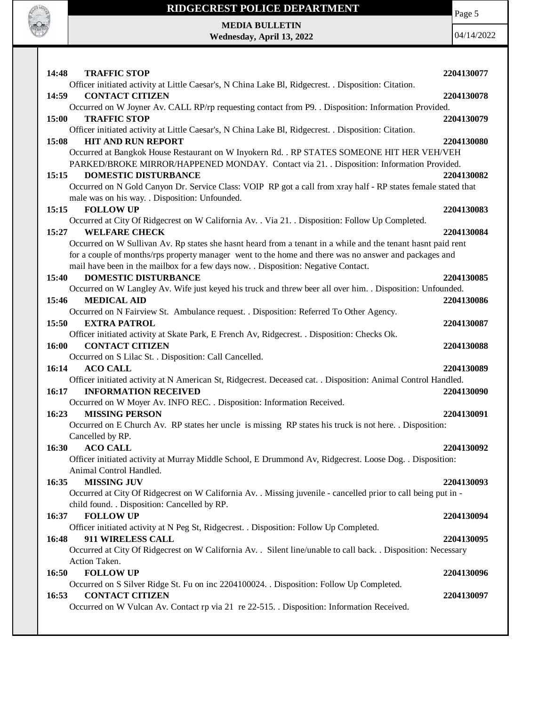

Page 5

**MEDIA BULLETIN Wednesday, April 13, 2022**

| 14:48<br><b>TRAFFIC STOP</b>                                                                                   | 2204130077 |
|----------------------------------------------------------------------------------------------------------------|------------|
| Officer initiated activity at Little Caesar's, N China Lake Bl, Ridgecrest. . Disposition: Citation.           |            |
| <b>CONTACT CITIZEN</b><br>14:59                                                                                | 2204130078 |
| Occurred on W Joyner Av. CALL RP/rp requesting contact from P9. . Disposition: Information Provided.           |            |
| 15:00<br><b>TRAFFIC STOP</b>                                                                                   | 2204130079 |
| Officer initiated activity at Little Caesar's, N China Lake Bl, Ridgecrest. . Disposition: Citation.           |            |
| <b>HIT AND RUN REPORT</b><br>15:08                                                                             | 2204130080 |
| Occurred at Bangkok House Restaurant on W Inyokern Rd. . RP STATES SOMEONE HIT HER VEH/VEH                     |            |
| PARKED/BROKE MIRROR/HAPPENED MONDAY. Contact via 21. . Disposition: Information Provided.                      |            |
| 15:15<br><b>DOMESTIC DISTURBANCE</b>                                                                           | 2204130082 |
| Occurred on N Gold Canyon Dr. Service Class: VOIP RP got a call from xray half - RP states female stated that  |            |
| male was on his way. . Disposition: Unfounded.                                                                 |            |
| <b>FOLLOW UP</b><br>15:15                                                                                      | 2204130083 |
| Occurred at City Of Ridgecrest on W California Av. . Via 21. . Disposition: Follow Up Completed.               |            |
| <b>WELFARE CHECK</b><br>15:27                                                                                  | 2204130084 |
| Occurred on W Sullivan Av. Rp states she hasnt heard from a tenant in a while and the tenant hasnt paid rent   |            |
| for a couple of months/rps property manager went to the home and there was no answer and packages and          |            |
| mail have been in the mailbox for a few days now. . Disposition: Negative Contact.                             |            |
| <b>DOMESTIC DISTURBANCE</b><br>15:40                                                                           | 2204130085 |
| Occurred on W Langley Av. Wife just keyed his truck and threw beer all over him. . Disposition: Unfounded.     |            |
| <b>MEDICAL AID</b><br>15:46                                                                                    | 2204130086 |
| Occurred on N Fairview St. Ambulance request. . Disposition: Referred To Other Agency.                         |            |
| 15:50<br><b>EXTRA PATROL</b>                                                                                   | 2204130087 |
| Officer initiated activity at Skate Park, E French Av, Ridgecrest. . Disposition: Checks Ok.                   |            |
| <b>CONTACT CITIZEN</b><br>16:00                                                                                | 2204130088 |
| Occurred on S Lilac St. . Disposition: Call Cancelled.                                                         |            |
| <b>ACO CALL</b><br>16:14                                                                                       | 2204130089 |
| Officer initiated activity at N American St, Ridgecrest. Deceased cat. . Disposition: Animal Control Handled.  |            |
| 16:17<br><b>INFORMATION RECEIVED</b>                                                                           | 2204130090 |
| Occurred on W Moyer Av. INFO REC. . Disposition: Information Received.                                         |            |
| <b>MISSING PERSON</b><br>16:23                                                                                 | 2204130091 |
| Occurred on E Church Av. RP states her uncle is missing RP states his truck is not here. . Disposition:        |            |
| Cancelled by RP.                                                                                               |            |
| 16:30<br><b>ACO CALL</b>                                                                                       | 2204130092 |
| Officer initiated activity at Murray Middle School, E Drummond Av, Ridgecrest. Loose Dog. . Disposition:       |            |
| Animal Control Handled.                                                                                        |            |
| <b>MISSING JUV</b><br>16:35                                                                                    | 2204130093 |
|                                                                                                                |            |
| Occurred at City Of Ridgecrest on W California Av. . Missing juvenile - cancelled prior to call being put in - |            |
| child found. . Disposition: Cancelled by RP.                                                                   |            |
| <b>FOLLOW UP</b><br>16:37                                                                                      | 2204130094 |
| Officer initiated activity at N Peg St, Ridgecrest. . Disposition: Follow Up Completed.                        |            |
| 911 WIRELESS CALL<br>16:48                                                                                     | 2204130095 |
| Occurred at City Of Ridgecrest on W California Av. . Silent line/unable to call back. . Disposition: Necessary |            |
| Action Taken.                                                                                                  |            |
| <b>FOLLOW UP</b><br>16:50                                                                                      |            |
|                                                                                                                | 2204130096 |
| Occurred on S Silver Ridge St. Fu on inc 2204100024. . Disposition: Follow Up Completed.                       |            |
| <b>CONTACT CITIZEN</b><br>16:53                                                                                | 2204130097 |
| Occurred on W Vulcan Av. Contact rp via 21 re 22-515. Disposition: Information Received.                       |            |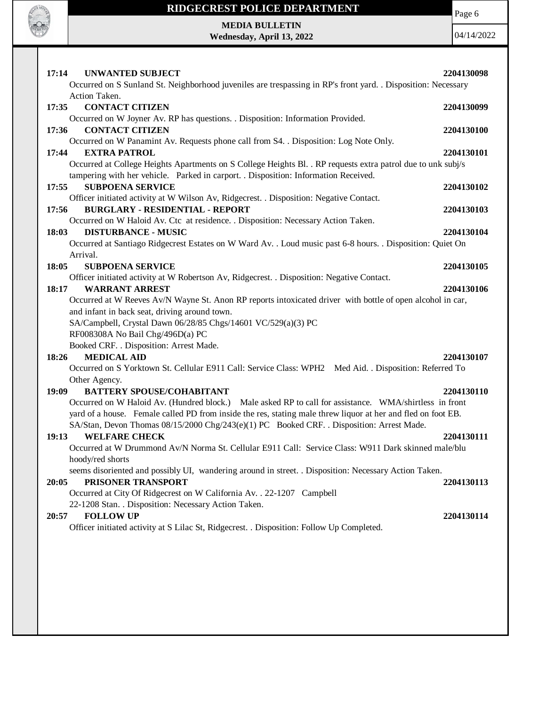

Page 6

**MEDIA BULLETIN Wednesday, April 13, 2022**

| 17:14<br><b>UNWANTED SUBJECT</b><br>Occurred on S Sunland St. Neighborhood juveniles are trespassing in RP's front yard. . Disposition: Necessary                                                                                                                                                                                                            | 2204130098 |
|--------------------------------------------------------------------------------------------------------------------------------------------------------------------------------------------------------------------------------------------------------------------------------------------------------------------------------------------------------------|------------|
| Action Taken.<br><b>CONTACT CITIZEN</b><br>17:35<br>Occurred on W Joyner Av. RP has questions. . Disposition: Information Provided.                                                                                                                                                                                                                          | 2204130099 |
| <b>CONTACT CITIZEN</b><br>17:36<br>Occurred on W Panamint Av. Requests phone call from S4. . Disposition: Log Note Only.                                                                                                                                                                                                                                     | 2204130100 |
| <b>EXTRA PATROL</b><br>17:44<br>Occurred at College Heights Apartments on S College Heights Bl. . RP requests extra patrol due to unk subj/s                                                                                                                                                                                                                 | 2204130101 |
| tampering with her vehicle. Parked in carport. . Disposition: Information Received.<br>17:55<br><b>SUBPOENA SERVICE</b>                                                                                                                                                                                                                                      | 2204130102 |
| Officer initiated activity at W Wilson Av, Ridgecrest. . Disposition: Negative Contact.<br><b>BURGLARY - RESIDENTIAL - REPORT</b><br>17:56<br>Occurred on W Haloid Av. Ctc at residence. . Disposition: Necessary Action Taken.                                                                                                                              | 2204130103 |
| 18:03<br><b>DISTURBANCE - MUSIC</b><br>Occurred at Santiago Ridgecrest Estates on W Ward Av. . Loud music past 6-8 hours. . Disposition: Quiet On                                                                                                                                                                                                            | 2204130104 |
| Arrival.<br><b>SUBPOENA SERVICE</b><br>18:05                                                                                                                                                                                                                                                                                                                 | 2204130105 |
| Officer initiated activity at W Robertson Av, Ridgecrest. . Disposition: Negative Contact.<br><b>WARRANT ARREST</b><br>18:17<br>Occurred at W Reeves Av/N Wayne St. Anon RP reports intoxicated driver with bottle of open alcohol in car,<br>and infant in back seat, driving around town.<br>SA/Campbell, Crystal Dawn 06/28/85 Chgs/14601 VC/529(a)(3) PC | 2204130106 |
| RF008308A No Bail Chg/496D(a) PC<br>Booked CRF. . Disposition: Arrest Made.                                                                                                                                                                                                                                                                                  |            |
| <b>MEDICAL AID</b><br>18:26<br>Occurred on S Yorktown St. Cellular E911 Call: Service Class: WPH2 Med Aid. . Disposition: Referred To                                                                                                                                                                                                                        | 2204130107 |
| Other Agency.                                                                                                                                                                                                                                                                                                                                                | 2204130110 |
| 19:09<br><b>BATTERY SPOUSE/COHABITANT</b><br>Occurred on W Haloid Av. (Hundred block.) Male asked RP to call for assistance. WMA/shirtless in front<br>yard of a house. Female called PD from inside the res, stating male threw liquor at her and fled on foot EB.                                                                                          |            |
| SA/Stan, Devon Thomas 08/15/2000 Chg/243(e)(1) PC Booked CRF. . Disposition: Arrest Made.<br><b>WELFARE CHECK</b><br>19:13<br>Occurred at W Drummond Av/N Norma St. Cellular E911 Call: Service Class: W911 Dark skinned male/blu                                                                                                                            | 2204130111 |
| hoody/red shorts<br>seems disoriented and possibly UI, wandering around in street. . Disposition: Necessary Action Taken.<br>PRISONER TRANSPORT<br>20:05<br>Occurred at City Of Ridgecrest on W California Av. . 22-1207 Campbell                                                                                                                            | 2204130113 |
| 22-1208 Stan. . Disposition: Necessary Action Taken.<br><b>FOLLOW UP</b><br>20:57<br>Officer initiated activity at S Lilac St, Ridgecrest. . Disposition: Follow Up Completed.                                                                                                                                                                               | 2204130114 |
|                                                                                                                                                                                                                                                                                                                                                              |            |
|                                                                                                                                                                                                                                                                                                                                                              |            |